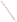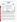### **THE ENVIRONMENTAL TECHNOLOGY VERIFICATION PROGRAM**







# **ETV Joint Verification Statement**

|                                      | TECHNOLOGY TYPE: PORTABLE CYANIDE ANALYZER                                                              |      |                                         |  |
|--------------------------------------|---------------------------------------------------------------------------------------------------------|------|-----------------------------------------|--|
| <b>APPLICATION:</b>                  | DETECTING CYANIDE IN WATER                                                                              |      |                                         |  |
|                                      | <b>TECHNOLOGY NAME: Model 9606 Cyanide Electrode with</b><br>Model 290 A+ Ion Selective Electrode Meter |      |                                         |  |
| <b>COMPANY:</b>                      | <b>Thermo Orion</b>                                                                                     |      |                                         |  |
| <b>ADDRESS:</b>                      | 500 Cummings Ctr.<br>Beverly, MA 01915                                                                  | FAX: | PHONE: 1-800-225-1480<br>1-978-232-6038 |  |
| <b>WEB SITE:</b><br>$E\text{-}MAIL:$ | http://www.thermo.com<br>xiaowen.wen@thermo.com                                                         |      |                                         |  |

The U.S. Environmental Protection Agency (EPA) supports the Environmental Technology Verification (ETV) Program to facilitate the deployment of innovative or improved environmental technologies through performance verification and dissemination of information. The goal of the ETV Program is to further environmental protection by substantially accelerating the acceptance and use of improved and cost-effective technologies. ETV seeks to achieve this goal by providing high-quality, peer-reviewed data on technology performance to those involved in the design, distribution, financing, permitting, purchase, and use of environmental technologies.

ETV works in partnership with recognized standards and testing organizations, with stakeholder groups (consisting of buyers, vendor organizations, and permitters), and with individual technology developers. The program evaluates the performance of innovative technologies by developing test plans that are responsive to the needs of stakeholders, conducting field or laboratory tests (as appropriate), collecting and analyzing data, and preparing peer-reviewed reports. All evaluations are conducted in accordance with rigorous quality assurance (QA) protocols to ensure that data of known and adequate quality are generated and that the results are defensible.

The Advanced Monitoring Systems (AMS) Center, one of seven technology areas under ETV, is operated by Battelle in cooperation with EPA's National Exposure Research Laboratory. The AMS Center has recently evaluated the performance of cyanide analyzers used to detect cyanide in water. This verification statement provides a summary of the test results for the Thermo Orion Model 9606 Cyanide Electrode with the Model 290A+ Ion Selective Electrode Meter, which is referred to as the Thermo Orion ion selective electrode (ISE in this verification statement).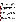## **VERIFICATION TEST DESCRIPTION**

The verification was based on comparing the cyanide concentrations of water samples determined by the Thermo Orion ISE with cyanide concentrations determined by a laboratory-based reference method (EPA Method 335.1, *Cyanides Amenable to Chlorination*). Two Thermo Orion ISEs were tested independently between January 13 and February 4, 2003; and the results were compared to assess inter-unit reproducibility. Some PT samples were reanalyzed on February 24, 2003, due to a laboratory error. Operator bias was not evaluated for the ISE units, so all the results in this report were generated by a technical operator. Samples used in the verification test included quality control samples, performance test (PT) samples, lethal/near-lethal concentration samples, drinking water samples, and surface water samples. The results from the Thermo Orion ISE were compared with the reference method to quantitatively assess accuracy and linearity. Multiple aliquots of each test sample were analyzed separately to assess the precision of the Thermo Orion ISE and the reference method. To determine the detection limit, a solution with a concentration of 0.100 milligram per liter (mg/L) was used. Seven non-consecutive replicate analyses of this solution were made to obtain precision data with which to determine the method detection limit (MDL). Sample throughput was estimated based on the time required to analyze a sample. Ease of use was based on documented observations by the operator and the Battelle Verification Test Coordinator. The Thermo Orion ISE was used in a field environment as well as in a laboratory setting to assess the impact of field conditions on performance.

QA oversight of verification testing was provided by Battelle. Battelle QA staff conducted a technical systems audit, a performance evaluation audit, and a data quality audit of 10% of the test data.

## **TECHNOLOGY DESCRIPTION**

The following description of the Thermo Orion ISE was provided by the vendor and does not represent verified information.

The Thermo Orion ISE consists of a solid sensing element containing a mixture of inorganic silver compounds bonded into the tip of an epoxy electrode body. When the sensing element is in contact with a cyanide solution, silver ions dissolve from the membrane surface. Silver ions within the sensing element move to the surface to replace the dissolved ions, establishing a potential difference that is dependent on the cyanide concentration in the solution. Upon calibration with solutions of known cyanide concentrations, these potential differences are converted to concentrations and displayed on the digital readout at mg/L when the Thermo Orion ISE is inserted into an unknown solution. The Thermo Orion ISE incorporates the reference and working electrodes into a single electrode shell. The Thermo Orion ISE is accessorized with a hard carrying case, an electrode stand that clips to the carrying case, a one-meter cable, an alkaline reagent for pH adjustment, and an electrode filling solution. The list price for the provided items is \$742 for the Thermo Orion Model 290A+ ISE meter, \$596 for the Thermo Orion Model 9606 Cyanide Electrode, and \$172 for the plastic carrying case. The Thermo Orion ISE operates on a 9-volt battery and has dimensions of 8.08 x 3.26 x 1.9 inches.

## **VERIFICATION OF PERFORMANCE**

**Calibration:** A three-point calibration using solutions of 0.030, 0.100, and 0.300 mg/L cyanide typically was used. The manufacturer suggested that the slope of the calibration linear regression be within the range of -54 to -60 millivolt per tenfold increase in cyanide concentration. Seventeen of 22 slopes attained were not within this range. However, analyzing samples using a calibration that produced a regression slope outside the acceptable range did not seem to negatively affect the accuracy of the results. Some of the most accurate results produced by the Thermo Orion ISE were produced on a day when the calibration regression slope was farthest from the acceptable range.

**Accuracy:** Biases for the Thermo Orion ISE ranged from 5 to 66% for the PT samples with concentrations ranging from 0.030 to 25.0 mg/L; 41 to 123% for the surface water samples; 14 to 100% for the drinking water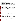samples from around the country; and 4 to 100% for the Columbus, OH, drinking water samples. Since the latter three types of water samples contained no detectable cyanide, they were fortified with 0.200 mg/L of cyanide to test the performance of the Thermo Orion ISE in water matrices.

**Precision:** Relative standard deviation (RSD) ranged from 1 to 18% for the PT samples, 5 to 16% for the surface water samples, 0 to 2% for the drinking water samples from around the country, and 2 to 10% for the Columbus, OH, drinking water samples.

**Linearity:** The results from the Thermo Orion ISE for the PT samples (0.030 to 25.0 mg/L) plotted against the concentrations of the same samples as determined by the reference method gives the following regression equation:

y (Thermo Orion ISE results in mg/L)=1.00 ( $\pm$  0.055) x (reference result in mg/L)  $+ 0.506 (\pm 0.530)$  mg/L with r<sup>2</sup>=0.955 and N=65.

where the values in parentheses represent the 95% confidence interval of the slope and intercept. The slope is not significantly different from unity, the intercept is not significantly different from zero, and the  $r<sup>2</sup>$  value is above 0.950. From these regression parameters, the Thermo Orion ISE data indicate linearity; but the data are more accurately described with two linear regressions, one for the high-concentration range (5.00 to 25.0 mg/L) and one for the lower concentration range (0.030 to 0.800 mg/L). This underscores the need to encompass the likely concentration of the water samples with calibration standards slightly higher and lower in concentration to avoid systematic error due to calibration over a non-linear concentration range.

**Method Detection Limit:** The MDLs for the Thermo Orion ISE were determined to be 0.040 and 0.023 mg/L.

**Inter-Unit Reproducibility:** A linear regression of the data for the inter-unit reproducibility assessment gives the following regression equation:

y (Technology #1 result in mg/L)=0.853 ( $\pm$  0.019) x (Technology #2 result in mg/L)  $+0.040 \ (\pm 0.127)$  mg/L with r<sup>2</sup>=0.991 and N=80.

where the values in parentheses represent the 95% confidence interval of the slope and intercept. The slope is significantly different from unity, while the intercept is not significantly different from zero. These data indicate that the two Thermo Orion ISEs functioned somewhat differently from one another. This could be because each electrode was polished and calibrated individually before each analysis set.

**Lethal/Near-Lethal Dose Response:** The bias values ranged from 105 to 375% for analysis of samples with concentrations of 50.0 to 250 mg/L. Precision (in terms of %RSD) for the Thermo Orion ISE analysis of lethal/near-lethal concentrations ranged from 5 to 38%.

**Field Portability:** From an operational standpoint, the Thermo Orion ISE was easily transported to the field setting, and the samples were analyzed in the same fashion as they were in the laboratory. While no functional aspects of the Thermo Orion ISE were compromised by performing the analyses in the field setting, close attention had to be paid to bringing the calibration solutions to a temperature similar to the samples.

**Ease of Use:** The instruction manual for the Thermo Orion ISE was clear and concise. Although the Thermo Orion ISE required calibration and electrode polishing before every sample set, it was convenient that calibration could be done with any concentration of cyanide. The pH was easily adjusted before analysis by the Thermo Orion ISE by adding 0.500 mL of Thermo Orion alkaline reagent to 50.0 mL of sample. One drawback of the Thermo Orion ISE was that the battery-powered stirrer would not operate at the slow speeds recommended for making ISE measurements.